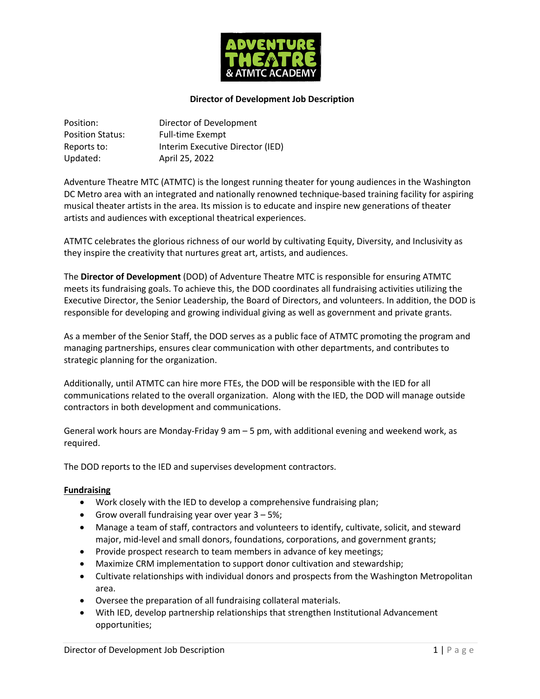

### **Director of Development Job Description**

| Position:               | Director of Development          |
|-------------------------|----------------------------------|
| <b>Position Status:</b> | <b>Full-time Exempt</b>          |
| Reports to:             | Interim Executive Director (IED) |
| Updated:                | April 25, 2022                   |

Adventure Theatre MTC (ATMTC) is the longest running theater for young audiences in the Washington DC Metro area with an integrated and nationally renowned technique-based training facility for aspiring musical theater artists in the area. Its mission is to educate and inspire new generations of theater artists and audiences with exceptional theatrical experiences.

ATMTC celebrates the glorious richness of our world by cultivating Equity, Diversity, and Inclusivity as they inspire the creativity that nurtures great art, artists, and audiences.

The **Director of Development** (DOD) of Adventure Theatre MTC is responsible for ensuring ATMTC meets its fundraising goals. To achieve this, the DOD coordinates all fundraising activities utilizing the Executive Director, the Senior Leadership, the Board of Directors, and volunteers. In addition, the DOD is responsible for developing and growing individual giving as well as government and private grants.

As a member of the Senior Staff, the DOD serves as a public face of ATMTC promoting the program and managing partnerships, ensures clear communication with other departments, and contributes to strategic planning for the organization.

Additionally, until ATMTC can hire more FTEs, the DOD will be responsible with the IED for all communications related to the overall organization. Along with the IED, the DOD will manage outside contractors in both development and communications.

General work hours are Monday-Friday 9 am – 5 pm, with additional evening and weekend work, as required.

The DOD reports to the IED and supervises development contractors.

### **Fundraising**

- Work closely with the IED to develop a comprehensive fundraising plan;
- Grow overall fundraising year over year  $3 5\%$ ;
- Manage a team of staff, contractors and volunteers to identify, cultivate, solicit, and steward major, mid-level and small donors, foundations, corporations, and government grants;
- Provide prospect research to team members in advance of key meetings;
- Maximize CRM implementation to support donor cultivation and stewardship;
- Cultivate relationships with individual donors and prospects from the Washington Metropolitan area.
- Oversee the preparation of all fundraising collateral materials.
- With IED, develop partnership relationships that strengthen Institutional Advancement opportunities;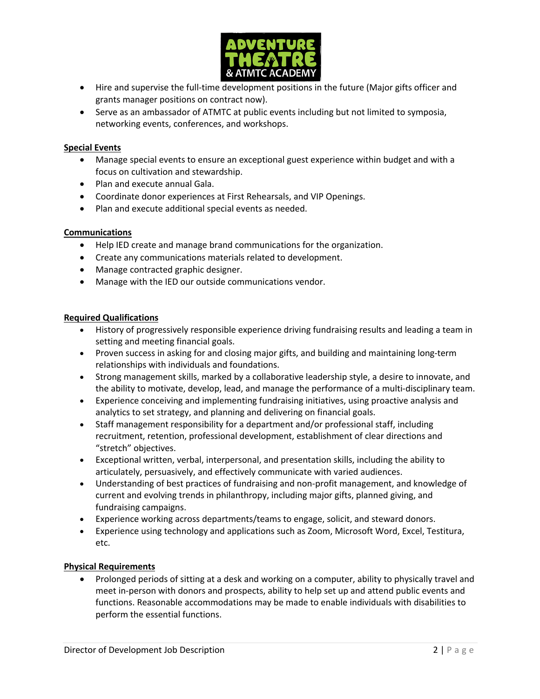

- Hire and supervise the full-time development positions in the future (Major gifts officer and grants manager positions on contract now).
- Serve as an ambassador of ATMTC at public events including but not limited to symposia, networking events, conferences, and workshops.

# **Special Events**

- Manage special events to ensure an exceptional guest experience within budget and with a focus on cultivation and stewardship.
- Plan and execute annual Gala.
- Coordinate donor experiences at First Rehearsals, and VIP Openings.
- Plan and execute additional special events as needed.

### **Communications**

- Help IED create and manage brand communications for the organization.
- Create any communications materials related to development.
- Manage contracted graphic designer.
- Manage with the IED our outside communications vendor.

### **Required Qualifications**

- History of progressively responsible experience driving fundraising results and leading a team in setting and meeting financial goals.
- Proven success in asking for and closing major gifts, and building and maintaining long-term relationships with individuals and foundations.
- Strong management skills, marked by a collaborative leadership style, a desire to innovate, and the ability to motivate, develop, lead, and manage the performance of a multi-disciplinary team.
- Experience conceiving and implementing fundraising initiatives, using proactive analysis and analytics to set strategy, and planning and delivering on financial goals.
- Staff management responsibility for a department and/or professional staff, including recruitment, retention, professional development, establishment of clear directions and "stretch" objectives.
- Exceptional written, verbal, interpersonal, and presentation skills, including the ability to articulately, persuasively, and effectively communicate with varied audiences.
- Understanding of best practices of fundraising and non-profit management, and knowledge of current and evolving trends in philanthropy, including major gifts, planned giving, and fundraising campaigns.
- Experience working across departments/teams to engage, solicit, and steward donors.
- Experience using technology and applications such as Zoom, Microsoft Word, Excel, Testitura, etc.

### **Physical Requirements**

• Prolonged periods of sitting at a desk and working on a computer, ability to physically travel and meet in-person with donors and prospects, ability to help set up and attend public events and functions. Reasonable accommodations may be made to enable individuals with disabilities to perform the essential functions.